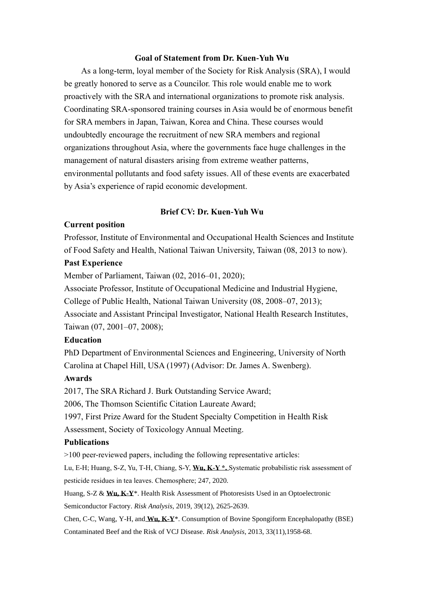## **Goal of Statement from Dr. Kuen-Yuh Wu**

As a long-term, loyal member of the Society for Risk Analysis (SRA), I would be greatly honored to serve as a Councilor. This role would enable me to work proactively with the SRA and international organizations to promote risk analysis. Coordinating SRA-sponsored training courses in Asia would be of enormous benefit for SRA members in Japan, Taiwan, Korea and China. These courses would undoubtedly encourage the recruitment of new SRA members and regional organizations throughout Asia, where the governments face huge challenges in the management of natural disasters arising from extreme weather patterns, environmental pollutants and food safety issues. All of these events are exacerbated by Asia's experience of rapid economic development.

#### **Brief CV: Dr. Kuen-Yuh Wu**

#### **Current position**

Professor, Institute of Environmental and Occupational Health Sciences and Institute of Food Safety and Health, National Taiwan University, Taiwan (08, 2013 to now).

## **Past Experience**

Member of Parliament, Taiwan (02, 2016–01, 2020);

Associate Professor, Institute of Occupational Medicine and Industrial Hygiene, College of Public Health, National Taiwan University (08, 2008–07, 2013); Associate and Assistant Principal Investigator, National Health Research Institutes, Taiwan (07, 2001–07, 2008);

# **Education**

PhD Department of Environmental Sciences and Engineering, University of North Carolina at Chapel Hill, USA (1997) (Advisor: Dr. James A. Swenberg).

# **Awards**

2017, The SRA Richard J. Burk Outstanding Service Award;

2006, The Thomson Scientific Citation Laureate Award;

1997, First Prize Award for the Student Specialty Competition in Health Risk

Assessment, Society of Toxicology Annual Meeting.

# **Publications**

>100 peer-reviewed papers, including the following representative articles:

Lu, E-H; Huang, S-Z, Yu, T-H, Chiang, S-Y, **Wu, K-Y \*.** Systematic probabilistic risk assessment of pesticide residues in tea leaves. Chemosphere; 247, 2020.

Huang, S-Z & **Wu, K-Y**\*. Health Risk Assessment of Photoresists Used in an Optoelectronic Semiconductor Factory. *Risk Analysis*, 2019, 39(12), 2625-2639.

Chen, C-C, Wang, Y-H, and **Wu, K-Y**\*. Consumption of Bovine Spongiform Encephalopathy (BSE) Contaminated Beef and the Risk of VCJ Disease. *Risk Analysis*, 2013, 33(11),1958-68.